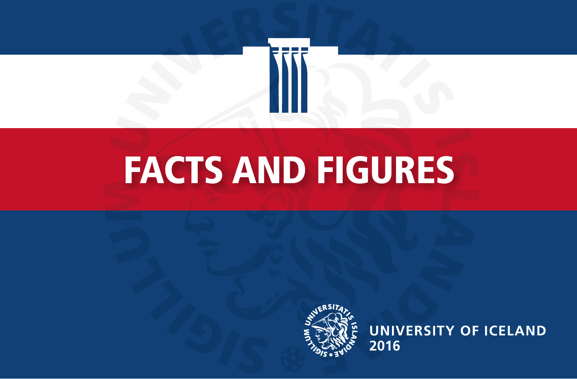

# FACTS AND FIGURES



**UNIVERSITY OF ICELAND 2016**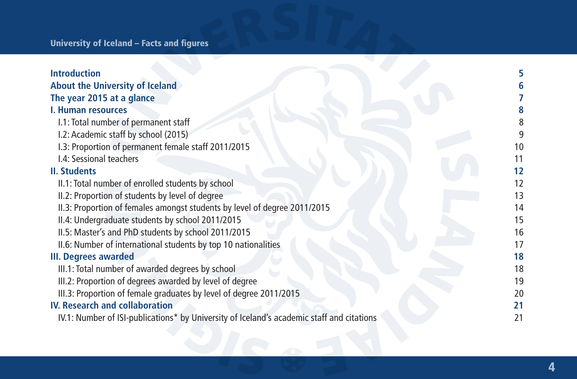| <b>Introduction</b>                                                                       |    |
|-------------------------------------------------------------------------------------------|----|
| About the University of Iceland                                                           |    |
| The year 2015 at a glance                                                                 |    |
| <b>I. Human resources</b>                                                                 |    |
| I.1: Total number of permanent staff                                                      |    |
| I.2: Academic staff by school (2015)                                                      |    |
| I.3: Proportion of permanent female staff 2011/2015                                       | 10 |
| I.4: Sessional teachers                                                                   | 11 |
| <b>II. Students</b>                                                                       | 12 |
| II.1: Total number of enrolled students by school                                         | 12 |
| II.2: Proportion of students by level of degree                                           | 13 |
| II.3: Proportion of females amongst students by level of degree 2011/2015                 | 14 |
| II.4: Undergraduate students by school 2011/2015                                          | 15 |
| II.5: Master's and PhD students by school 2011/2015                                       | 16 |
| II.6: Number of international students by top 10 nationalities                            | 17 |
| III. Degrees awarded                                                                      | 18 |
| III.1: Total number of awarded degrees by school                                          | 18 |
| III.2: Proportion of degrees awarded by level of degree                                   | 19 |
| III.3: Proportion of female graduates by level of degree 2011/2015                        | 20 |
| <b>IV. Research and collaboration</b>                                                     | 21 |
| IV.1: Number of ISI-publications* by University of Iceland's academic staff and citations | 21 |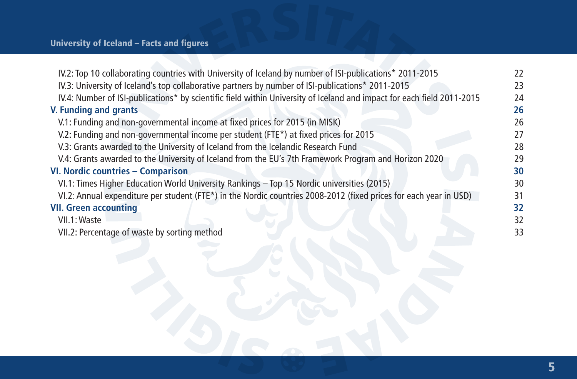| IV.2: Top 10 collaborating countries with University of Iceland by number of ISI-publications* 2011-2015<br>IV.3: University of Iceland's top collaborative partners by number of ISI-publications* 2011-2015<br>IV.4: Number of ISI-publications* by scientific field within University of Iceland and impact for each field 2011-2015<br>V. Funding and grants |    |
|------------------------------------------------------------------------------------------------------------------------------------------------------------------------------------------------------------------------------------------------------------------------------------------------------------------------------------------------------------------|----|
|                                                                                                                                                                                                                                                                                                                                                                  | 22 |
|                                                                                                                                                                                                                                                                                                                                                                  | 23 |
|                                                                                                                                                                                                                                                                                                                                                                  | 24 |
|                                                                                                                                                                                                                                                                                                                                                                  | 26 |
| V.1: Funding and non-governmental income at fixed prices for 2015 (in MISK)                                                                                                                                                                                                                                                                                      | 26 |
| V.2: Funding and non-governmental income per student (FTE*) at fixed prices for 2015                                                                                                                                                                                                                                                                             | 27 |
| V.3: Grants awarded to the University of Iceland from the Icelandic Research Fund                                                                                                                                                                                                                                                                                | 28 |
| V.4: Grants awarded to the University of Iceland from the EU's 7th Framework Program and Horizon 2020                                                                                                                                                                                                                                                            | 29 |
| VI. Nordic countries - Comparison                                                                                                                                                                                                                                                                                                                                | 30 |
| VI.1: Times Higher Education World University Rankings - Top 15 Nordic universities (2015)                                                                                                                                                                                                                                                                       | 30 |
| VI.2: Annual expenditure per student (FTE*) in the Nordic countries 2008-2012 (fixed prices for each year in USD)                                                                                                                                                                                                                                                | 31 |
| <b>VII. Green accounting</b>                                                                                                                                                                                                                                                                                                                                     | 32 |
| VII.1: Waste                                                                                                                                                                                                                                                                                                                                                     | 32 |
| VII.2: Percentage of waste by sorting method                                                                                                                                                                                                                                                                                                                     | 33 |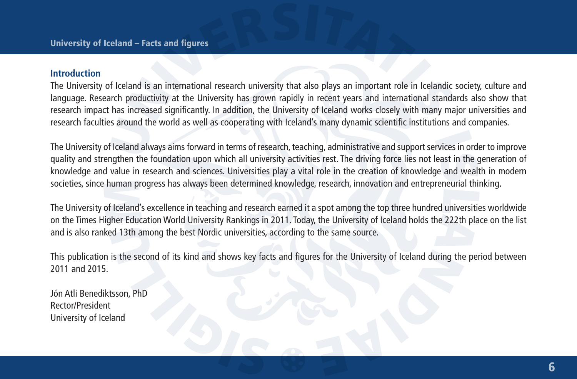#### **Introduction**

The University of Iceland is an international research university that also plays an important role in Icelandic society, culture and language. Research productivity at the University has grown rapidly in recent years and international standards also show that research impact has increased significantly. In addition, the University of Iceland works closely with many major universities and research faculties around the world as well as cooperating with Iceland's many dynamic scientific institutions and companies.

The University of Iceland always aims forward in terms of research, teaching, administrative and support services in order to improve quality and strengthen the foundation upon which all university activities rest. The driving force lies not least in the generation of knowledge and value in research and sciences. Universities play a vital role in the creation of knowledge and wealth in modern societies, since human progress has always been determined knowledge, research, innovation and entrepreneurial thinking.

The University of Iceland's excellence in teaching and research earned it a spot among the top three hundred universities worldwide on the Times Higher Education World University Rankings in 2011. Today, the University of Iceland holds the 222th place on the list and is also ranked 13th among the best Nordic universities, according to the same source.

This publication is the second of its kind and shows key facts and figures for the University of Iceland during the period between 2011 and 2015.

Jón Atli Benediktsson, PhD Rector/President University of Iceland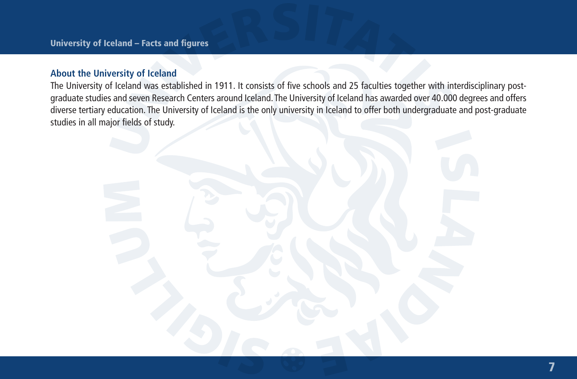## **About the University of Iceland**

The University of Iceland was established in 1911. It consists of five schools and 25 faculties together with interdisciplinary postgraduate studies and seven Research Centers around Iceland. The University of Iceland has awarded over 40.000 degrees and offers diverse tertiary education. The University of Iceland is the only university in Iceland to offer both undergraduate and post-graduate studies in all major fields of study.

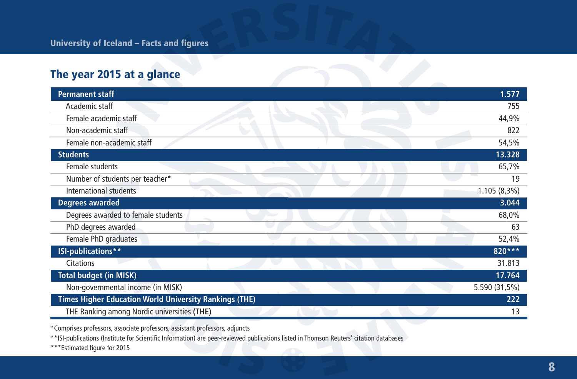# The year 2015 at a glance

| <b>Permanent staff</b>                                        | 1.577         |
|---------------------------------------------------------------|---------------|
| Academic staff                                                | 755           |
| Female academic staff                                         | 44,9%         |
| Non-academic staff                                            | 822           |
| Female non-academic staff                                     | 54,5%         |
| <b>Students</b>                                               | 13.328        |
| Female students                                               | 65,7%         |
| Number of students per teacher*                               | 19            |
| International students                                        | 1.105 (8,3%)  |
| Degrees awarded                                               | 3.044         |
| Degrees awarded to female students                            | 68,0%         |
| PhD degrees awarded                                           | 63            |
| Female PhD graduates                                          | 52,4%         |
| ISI-publications**                                            | 820***        |
| <b>Citations</b>                                              | 31.813        |
| <b>Total budget (in MISK)</b>                                 | 17.764        |
| Non-governmental income (in MISK)                             | 5.590 (31,5%) |
| <b>Times Higher Education World University Rankings (THE)</b> | 222           |
| THE Ranking among Nordic universities (THE)                   | 13            |

\*Comprises professors, associate professors, assistant professors, adjuncts

\*\*ISI-publications (Institute for Scientific Information) are peer-reviewed publications listed in Thomson Reuters' citation databases

\*\*\*Estimated figure for 2015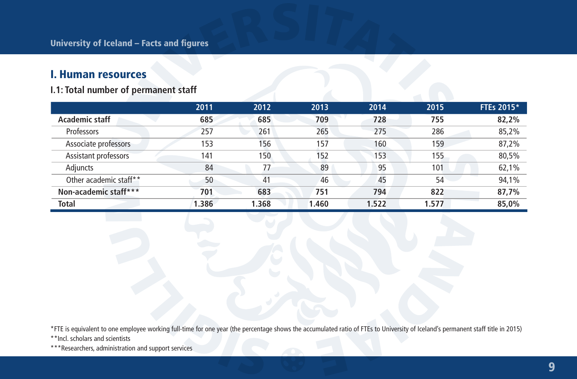## I. Human resources

## **I.1: Total number of permanent staff**

|                        | 2011  | 2012  | 2013  | 2014  | 2015  | FTEs 2015* |
|------------------------|-------|-------|-------|-------|-------|------------|
| Academic staff         | 685   | 685   | 709   | 728   | 755   | 82,2%      |
| Professors             | 257   | 261   | 265   | 275   | 286   | 85,2%      |
| Associate professors   | 153   | 156   | 157   | 160   | 159   | 87,2%      |
| Assistant professors   | 141   | 150   | 152   | 153   | 155   | 80,5%      |
| Adiuncts               | 84    | 77    | 89    | 95    | 101   | 62,1%      |
| Other academic staff** | 50    | 41    | 46    | 45    | 54    | 94,1%      |
| Non-academic staff***  | 701   | 683   | 751   | 794   | 822   | 87,7%      |
| <b>Total</b>           | 1.386 | 1.368 | 1.460 | 1.522 | 1.577 | 85,0%      |

\*FTE is equivalent to one employee working full-time for one year (the percentage shows the accumulated ratio of FTEs to University of Iceland's permanent staff title in 2015)

\*\*Incl. scholars and scientists

\*\*\*Researchers, administration and support services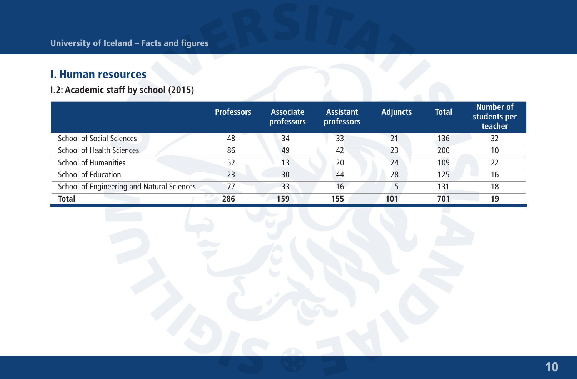# I. Human resources

**I.2: Academic staff by school (2015)**

|                                            | <b>Professors</b> | <b>Associate</b><br>professors | <b>Assistant</b><br>professors | <b>Adjuncts</b> | <b>Total</b> | <b>Number of</b><br>students per<br>teacher |
|--------------------------------------------|-------------------|--------------------------------|--------------------------------|-----------------|--------------|---------------------------------------------|
| School of Social Sciences                  | 48                | 34                             | 33                             | 21              | 136          | 32                                          |
| School of Health Sciences                  | 86                | 49                             | 42                             | 23              | 200          | 10                                          |
| <b>School of Humanities</b>                | 52                | 13                             | 20                             | 24              | 109          | 22                                          |
| <b>School of Education</b>                 | 23                | 30                             | 44                             | 28              | 125          | 16                                          |
| School of Engineering and Natural Sciences | 77                | 33                             | 16                             | 5               | 131          | 18                                          |
| <b>Total</b>                               | 286               | 159                            | 155                            | 101             | 701          | 19                                          |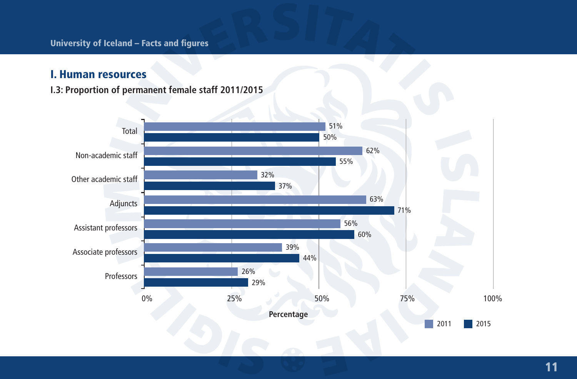## I. Human resources

**I.3: Proportion of permanent female staff 2011/2015**

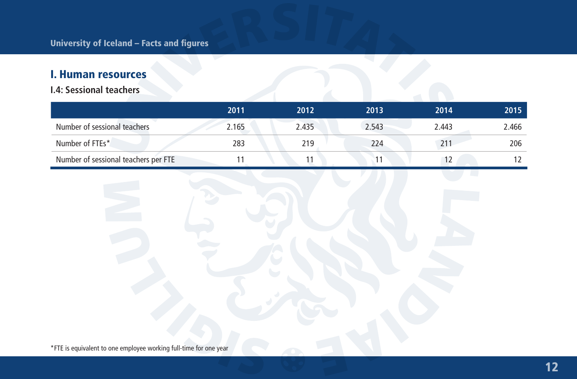# I. Human resources

## **I.4: Sessional teachers**

|                                      | 2011  | 2012  | 2013  | 2014         | 2015  |
|--------------------------------------|-------|-------|-------|--------------|-------|
| Number of sessional teachers         | 2.165 | 2.435 | 2.543 | 2.443        | 2.466 |
| Number of FTEs*                      | 283   | 219   | 224   | $21^{\circ}$ | 206   |
| Number of sessional teachers per FTE |       |       |       |              |       |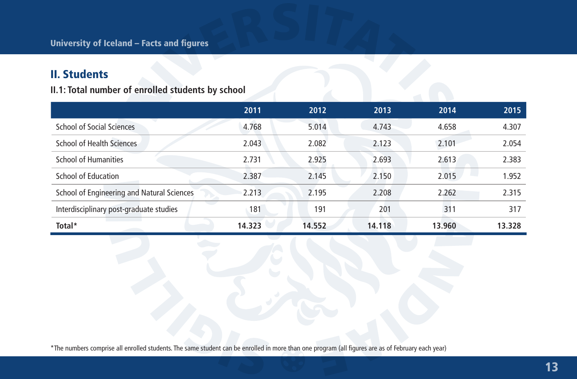# II. Students

**II.1: Total number of enrolled students by school**

|                                            | 2011   | 2012   | 2013   | 2014   | 2015   |
|--------------------------------------------|--------|--------|--------|--------|--------|
| School of Social Sciences                  | 4.768  | 5.014  | 4.743  | 4.658  | 4.307  |
| School of Health Sciences                  | 2.043  | 2.082  | 2.123  | 2.101  | 2.054  |
| School of Humanities                       | 2.731  | 2.925  | 2.693  | 2.613  | 2.383  |
| School of Education                        | 2.387  | 2.145  | 2.150  | 2.015  | 1.952  |
| School of Engineering and Natural Sciences | 2.213  | 2.195  | 2.208  | 2.262  | 2.315  |
| Interdisciplinary post-graduate studies    | 181    | 191    | 201    | 311    | 317    |
| Total*                                     | 14.323 | 14.552 | 14.118 | 13.960 | 13.328 |

\*The numbers comprise all enrolled students. The same student can be enrolled in more than one program (all figures are as of February each year)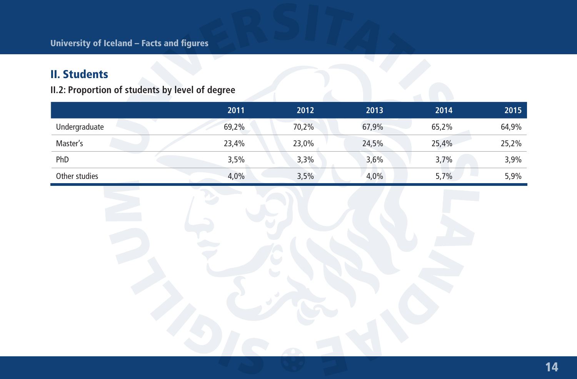# II. Students

**II.2: Proportion of students by level of degree**

|               | 2011  | 2012  | 2013  | 2014  | 2015  |
|---------------|-------|-------|-------|-------|-------|
| Undergraduate | 69,2% | 70,2% | 67,9% | 65,2% | 64,9% |
| Master's      | 23,4% | 23,0% | 24,5% | 25,4% | 25,2% |
| PhD           | 3,5%  | 3,3%  | 3,6%  | 3,7%  | 3,9%  |
| Other studies | 4,0%  | 3,5%  | 4,0%  | 5,7%  | 5,9%  |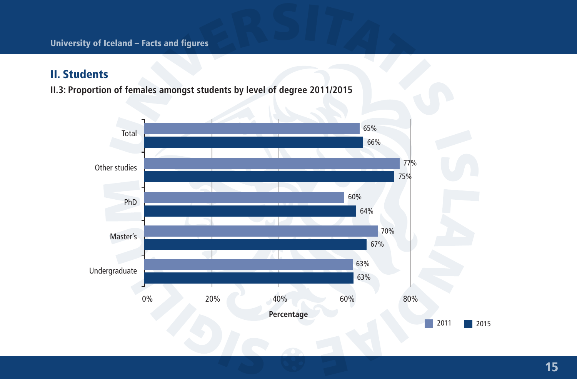# II. Students

**II.3: Proportion of females amongst students by level of degree 2011/2015**

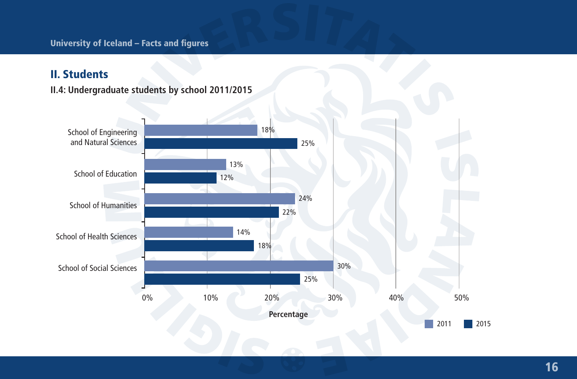# II. Students

**II.4: Undergraduate students by school 2011/2015**

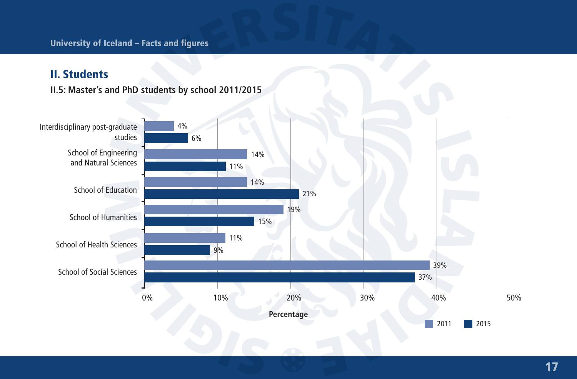# II. Students

**II.5: Master's and PhD students by school 2011/2015**

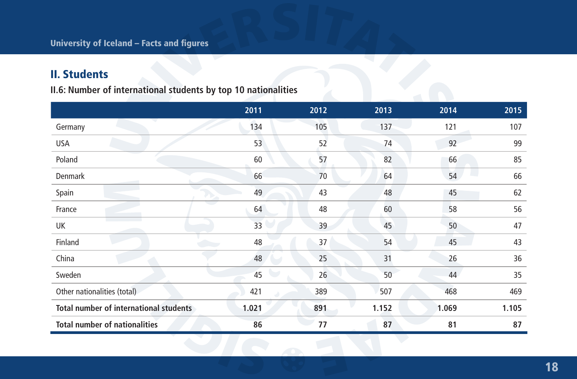# II. Students

**II.6: Number of international students by top 10 nationalities**

|                                               | 2011  | 2012 | 2013  | 2014  | 2015  |
|-----------------------------------------------|-------|------|-------|-------|-------|
| Germany                                       | 134   | 105  | 137   | 121   | 107   |
| USA                                           | 53    | 52   | 74    | 92    | 99    |
| Poland                                        | 60    | 57   | 82    | 66    | 85    |
| Denmark                                       | 66    | 70   | 64    | 54    | 66    |
| Spain                                         | 49    | 43   | 48    | 45    | 62    |
| France                                        | 64    | 48   | 60    | 58    | 56    |
| UK                                            | 33    | 39   | 45    | 50    | 47    |
| Finland                                       | 48    | 37   | 54    | 45    | 43    |
| China                                         | 48    | 25   | 31    | 26    | 36    |
| Sweden                                        | 45    | 26   | 50    | 44    | 35    |
| Other nationalities (total)                   | 421   | 389  | 507   | 468   | 469   |
| <b>Total number of international students</b> | 1.021 | 891  | 1.152 | 1.069 | 1.105 |
| <b>Total number of nationalities</b>          | 86    | 77   | 87    | 81    | 87    |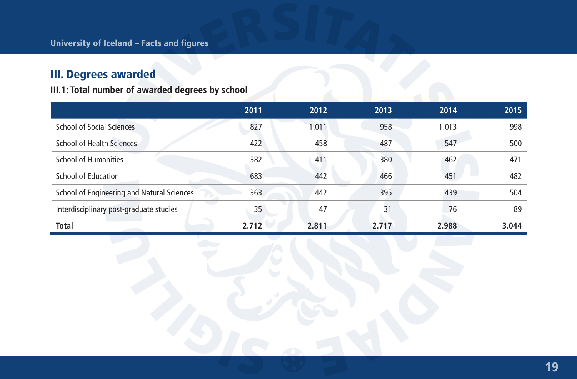# III. Degrees awarded

**III.1: Total number of awarded degrees by school**

|                                            | 2011  | 2012  | 2013  | 2014  | 2015  |
|--------------------------------------------|-------|-------|-------|-------|-------|
| School of Social Sciences                  | 827   | 1.011 | 958   | 1.013 | 998   |
| School of Health Sciences                  | 422   | 458   | 487   | 547   | 500   |
| School of Humanities                       | 382   | 411   | 380   | 462   | 471   |
| School of Education                        | 683   | 442   | 466   | 451   | 482   |
| School of Engineering and Natural Sciences | 363   | 442   | 395   | 439   | 504   |
| Interdisciplinary post-graduate studies    | 35    | 47    | 31    | 76    | 89    |
| <b>Total</b>                               | 2.712 | 2.811 | 2.717 | 2.988 | 3.044 |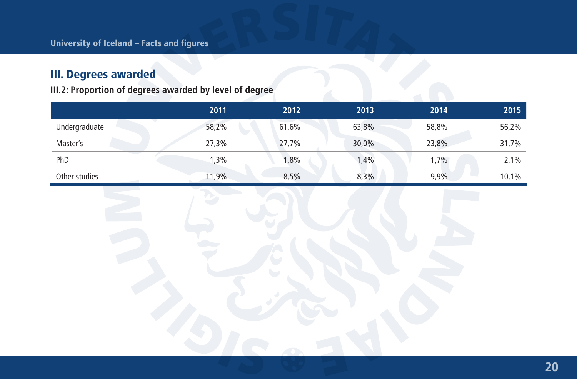# III. Degrees awarded

**III.2: Proportion of degrees awarded by level of degree**

|               | 2011  | 2012  | 2013  | 2014  | 2015  |
|---------------|-------|-------|-------|-------|-------|
| Undergraduate | 58,2% | 61,6% | 63,8% | 58,8% | 56,2% |
| Master's      | 27,3% | 27,7% | 30,0% | 23,8% | 31,7% |
| PhD           | 1,3%  | 1,8%  | 1,4%  | 1,7%  | 2,1%  |
| Other studies | 1,9%  | 8,5%  | 8,3%  | 9,9%  | 10,1% |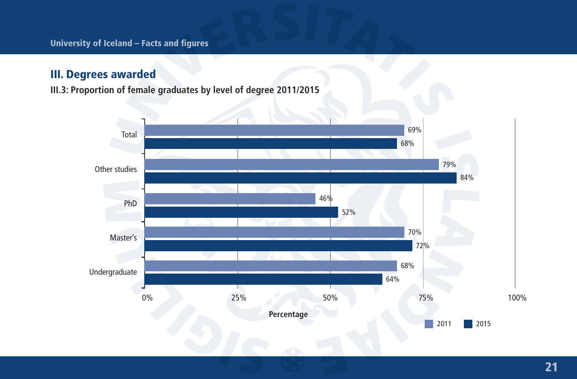## III. Degrees awarded

**III.3: Proportion of female graduates by level of degree 2011/2015**

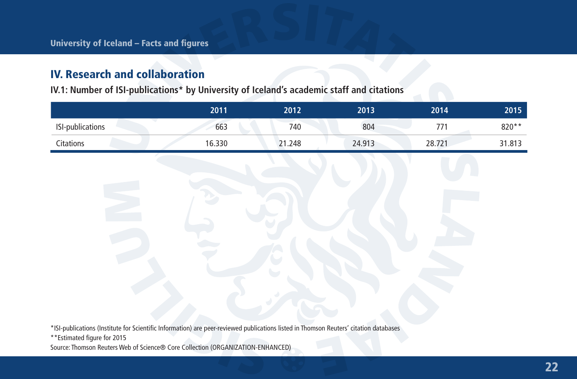**IV.1: Number of ISI-publications\* by University of Iceland's academic staff and citations**

|                         | 2011   | 2012   | 2013   | 2014   | 2015   |
|-------------------------|--------|--------|--------|--------|--------|
| <b>ISI-publications</b> | 663    | 740    | 804    |        | 820**  |
| Citations               | 16.330 | 21.248 | 24.913 | 28.721 | 31.813 |

\*ISI-publications (Institute for Scientific Information) are peer-reviewed publications listed in Thomson Reuters' citation databases

Source: Thomson Reuters Web of Science® Core Collection (ORGANIZATION-ENHANCED)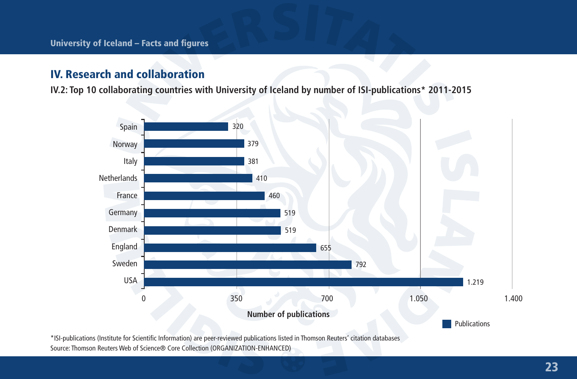**IV.2: Top 10 collaborating countries with University of Iceland by number of ISI-publications\* 2011-2015**



\*ISI-publications (Institute for Scientific Information) are peer-reviewed publications listed in Thomson Reuters' citation databases Source: Thomson Reuters Web of Science® Core Collection (ORGANIZATION-ENHANCED)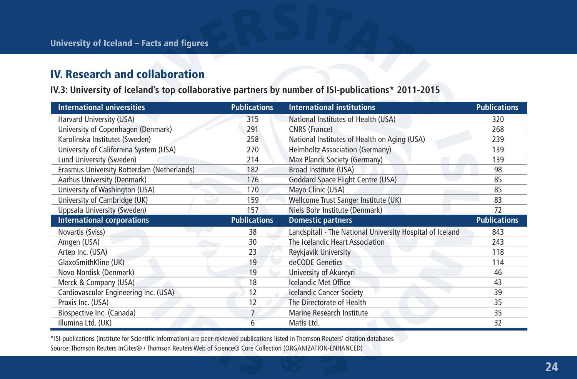**IV.3: University of Iceland's top collaborative partners by number of ISI-publications\* 2011-2015**

| <b>International universities</b>          | <b>Publications</b> | <b>International institutions</b>                         | <b>Publications</b> |
|--------------------------------------------|---------------------|-----------------------------------------------------------|---------------------|
| Harvard University (USA)                   | 315                 | National Institutes of Health (USA)                       | 320                 |
| University of Copenhagen (Denmark)         | 291                 | CNRS (France)                                             | 268                 |
| Karolinska Institutet (Sweden)             | 258                 | National Institutes of Health on Aging (USA)              | 239                 |
| University of Californina System (USA)     | 270                 | <b>Helmholtz Association (Germany)</b>                    | 139                 |
| Lund University (Sweden)                   | 214                 | Max Planck Society (Germany)                              | 139                 |
| Erasmus University Rotterdam (Netherlands) | 182                 | Broad Institute (USA)                                     | 98                  |
| Aarhus University (Denmark)                | 176                 | Goddard Space Flight Centre (USA)                         | 85                  |
| University of Washington (USA)             | 170                 | Mayo Clinic (USA)                                         | 85                  |
| University of Cambridge (UK)               | 159                 | Wellcome Trust Sanger Institute (UK)                      | 83                  |
| Uppsala University (Sweden)                | 157                 | Niels Bohr Institute (Denmark)                            | 72                  |
|                                            |                     |                                                           |                     |
| <b>International corporations</b>          | <b>Publications</b> | <b>Domestic partners</b>                                  | <b>Publications</b> |
| Novartis (Sviss)                           | 38                  | Landspitali - The National University Hospital of Iceland | 843                 |
| Amgen (USA)                                | 30                  | The Icelandic Heart Association                           | 243                 |
| Artep Inc. (USA)                           | 23                  | <b>Reykjavik University</b>                               | 118                 |
| GlaxoSmithKline (UK)                       | 19                  | deCODE Genetics                                           | 114                 |
| Novo Nordisk (Denmark)                     | 19                  | University of Akureyri                                    | 46                  |
| Merck & Company (USA)                      | 18                  | <b>Icelandic Met Office</b>                               | 43                  |
| Cardiovascular Engineering Inc. (USA)      | 12                  | <b>Icelandic Cancer Society</b>                           | 39                  |
| Praxis Inc. (USA)                          | 12                  | The Directorate of Health                                 | 35                  |
| Biospective Inc. (Canada)                  | 7                   | Marine Research Institute                                 | 35                  |

\*ISI-publications (Institute for Scientific Information) are peer-reviewed publications listed in Thomson Reuters' citation databases Source: Thomson Reuters InCites® / Thomson Reuters Web of Science® Core Collection (ORGANIZATION-ENHANCED)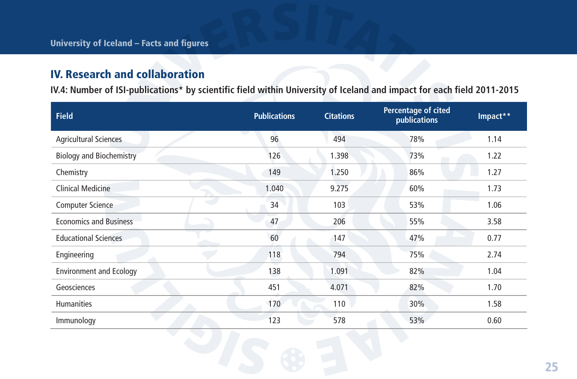**IV.4: Number of ISI-publications\* by scientific field within University of Iceland and impact for each field 2011-2015**

| <b>Field</b>                    | <b>Publications</b> | <b>Citations</b> | Percentage of cited<br>publications | Impact** |
|---------------------------------|---------------------|------------------|-------------------------------------|----------|
| <b>Agricultural Sciences</b>    | 96                  | 494              | 78%                                 | 1.14     |
| <b>Biology and Biochemistry</b> | 126                 | 1.398            | 73%                                 | 1.22     |
| Chemistry                       | 149                 | 1.250            | 86%                                 | 1.27     |
| Clinical Medicine               | 1.040               | 9.275            | 60%                                 | 1.73     |
| e.<br><b>Computer Science</b>   | 34                  | 103              | 53%                                 | 1.06     |
| <b>Economics and Business</b>   | 47                  | 206              | 55%                                 | 3.58     |
| <b>Educational Sciences</b>     | 60                  | 147              | 47%                                 | 0.77     |
| Engineering                     | 118                 | 794              | 75%                                 | 2.74     |
| <b>Environment and Ecology</b>  | 138                 | 1.091            | 82%                                 | 1.04     |
| Geosciences                     | 451                 | 4.071            | 82%                                 | 1.70     |
| <b>Humanities</b>               | 170                 | 110              | 30%                                 | 1.58     |
| Immunology                      | 123                 | 578              | 53%                                 | 0.60     |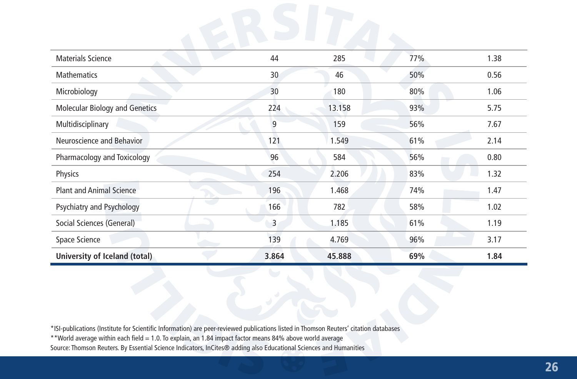| Materials Science                     | 44    | 285    | 77% | 1.38 |
|---------------------------------------|-------|--------|-----|------|
| <b>Mathematics</b>                    | 30    | 46     | 50% | 0.56 |
| Microbiology                          | 30    | 180    | 80% | 1.06 |
| <b>Molecular Biology and Genetics</b> | 224   | 13.158 | 93% | 5.75 |
| Multidisciplinary                     | 9     | 159    | 56% | 7.67 |
| Neuroscience and Behavior             | 121   | 1.549  | 61% | 2.14 |
| Pharmacology and Toxicology           | 96    | 584    | 56% | 0.80 |
| Physics                               | 254   | 2.206  | 83% | 1.32 |
| <b>Plant and Animal Science</b>       | 196   | 1.468  | 74% | 1.47 |
| Psychiatry and Psychology             | 166   | 782    | 58% | 1.02 |
| Social Sciences (General)             | 3     | 1.185  | 61% | 1.19 |
| Space Science                         | 139   | 4.769  | 96% | 3.17 |
| University of Iceland (total)         | 3.864 | 45.888 | 69% | 1.84 |

\*ISI-publications (Institute for Scientific Information) are peer-reviewed publications listed in Thomson Reuters' citation databases

\*\*World average within each field = 1.0. To explain, an 1.84 impact factor means 84% above world average

Source: Thomson Reuters. By Essential Science Indicators, InCites® adding also Educational Sciences and Humanities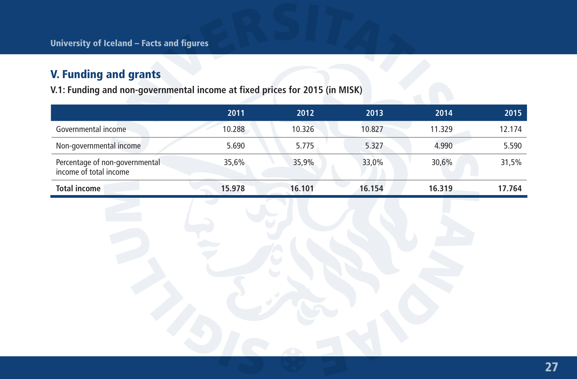# V. Funding and grants

**V.1: Funding and non-governmental income at fixed prices for 2015 (in MISK)**

|                                                          | 2011   | 2012   | 2013   | 2014   | 2015   |
|----------------------------------------------------------|--------|--------|--------|--------|--------|
| Governmental income                                      | 10.288 | 10.326 | 10.827 | 11.329 | 12.174 |
| Non-governmental income                                  | 5.690  | 5.775  | 5.327  | 4.990  | 5.590  |
| Percentage of non-governmental<br>income of total income | 35,6%  | 35,9%  | 33,0%  | 30,6%  | 31,5%  |
| <b>Total income</b>                                      | 15.978 | 16.101 | 16.154 | 16.319 | 17.764 |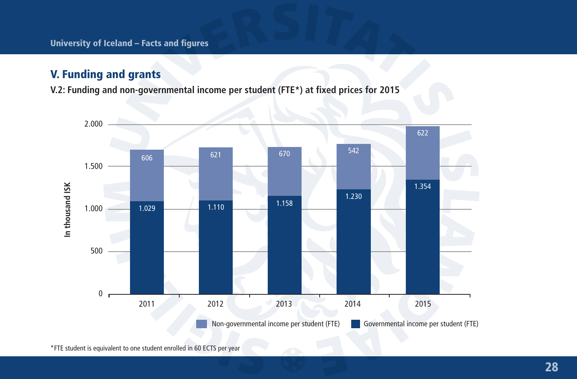## V. Funding and grants

**V.2: Funding and non-governmental income per student (FTE\*) at fixed prices for 2015**

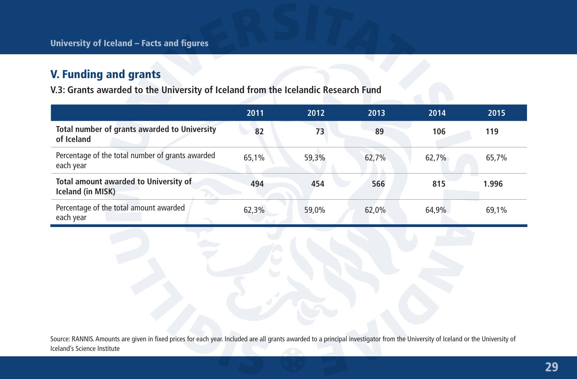# V. Funding and grants

**V.3: Grants awarded to the University of Iceland from the Icelandic Research Fund**

|                                                               | 2011  | 2012  | 2013  | 2014  | 2015  |
|---------------------------------------------------------------|-------|-------|-------|-------|-------|
| Total number of grants awarded to University<br>of Iceland    | 82    | 73    | 89    | 106   | 119   |
| Percentage of the total number of grants awarded<br>each year | 65.1% | 59.3% | 62.7% | 62.7% | 65,7% |
| Total amount awarded to University of<br>Iceland (in MISK)    | 494   | 454   | 566   | 815   | 1.996 |
| Percentage of the total amount awarded<br>each year           | 62,3% | 59.0% | 62.0% | 64.9% | 69.1% |

Source: RANNIS. Amounts are given in fixed prices for each year. Included are all grants awarded to a principal investigator from the University of Iceland or the University of Iceland's Science Institute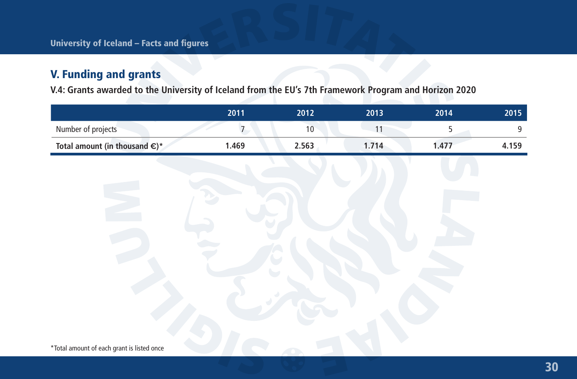# V. Funding and grants

**V.4: Grants awarded to the University of Iceland from the EU's 7th Framework Program and Horizon 2020**

|                                         | 2011  | 2012  | 2013 | 2014  | 2015  |
|-----------------------------------------|-------|-------|------|-------|-------|
| Number of projects                      |       |       |      |       |       |
| Total amount (in thousand $\epsilon$ )* | 1.469 | 2.563 | .714 | 1.477 | 4.159 |

\*Total amount of each grant is listed once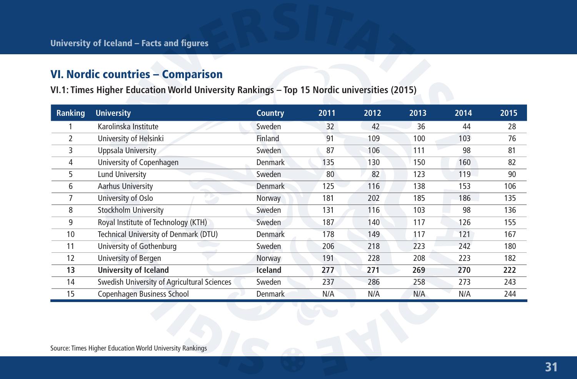# VI. Nordic countries – Comparison

**VI.1: Times Higher Education World University Rankings – Top 15 Nordic universities (2015)**

| Ranking | <b>University</b>                           | Country        | 2011 | 2012 | 2013 | 2014 | 2015 |
|---------|---------------------------------------------|----------------|------|------|------|------|------|
|         | Karolinska Institute                        | Sweden         | 32   | 42   | 36   | 44   | 28   |
| 2       | University of Helsinki                      | Finland        | 91   | 109  | 100  | 103  | 76   |
| 3       | Uppsala University                          | Sweden         | 87   | 106  | 111  | 98   | 81   |
| 4       | University of Copenhagen                    | <b>Denmark</b> | 135  | 130  | 150  | 160  | 82   |
| 5       | Lund University                             | Sweden         | 80   | 82   | 123  | 119  | 90   |
| 6       | Aarhus University                           | <b>Denmark</b> | 125  | 116  | 138  | 153  | 106  |
| 7       | University of Oslo                          | Norway         | 181  | 202  | 185  | 186  | 135  |
| 8       | Stockholm University                        | Sweden         | 131  | 116  | 103  | 98   | 136  |
| 9       | Royal Institute of Technology (KTH)         | Sweden         | 187  | 140  | 117  | 126  | 155  |
| 10      | Technical University of Denmark (DTU)       | <b>Denmark</b> | 178  | 149  | 117  | 121  | 167  |
| 11      | University of Gothenburg                    | Sweden         | 206  | 218  | 223  | 242  | 180  |
| 12      | University of Bergen                        | Norway         | 191  | 228  | 208  | 223  | 182  |
| 13      | <b>University of Iceland</b>                | Iceland        | 277  | 271  | 269  | 270  | 222  |
| 14      | Swedish University of Agricultural Sciences | Sweden         | 237  | 286  | 258  | 273  | 243  |
| 15      | Copenhagen Business School                  | <b>Denmark</b> | N/A  | N/A  | N/A  | N/A  | 244  |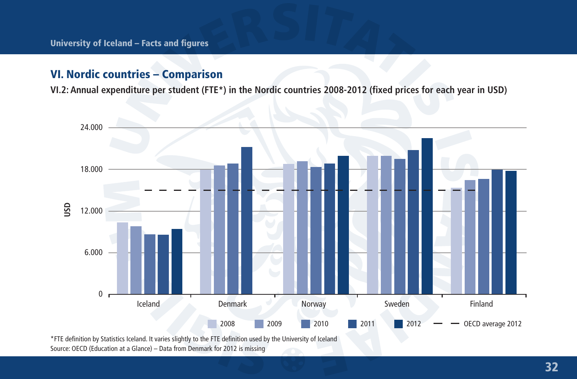## VI. Nordic countries – Comparison

**VI.2: Annual expenditure per student (FTE\*) in the Nordic countries 2008-2012 (fixed prices for each year in USD)**



Source: OECD (Education at a Glance) – Data from Denmark for 2012 is missing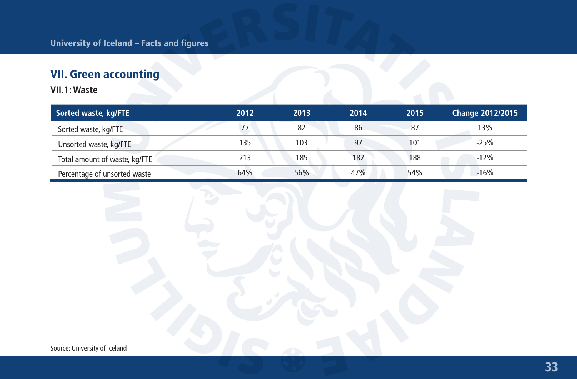# VII. Green accounting

**VII.1: Waste**

| Sorted waste, kg/FTE          | 2012 | 2013 | 2014 | 2015 | <b>Change 2012/2015</b> |
|-------------------------------|------|------|------|------|-------------------------|
| Sorted waste, kg/FTE          | 77   | 82   | 86   | 87   | 13%                     |
| Unsorted waste, kg/FTE        | 135  | 103  | 97   | 101  | $-25%$                  |
| Total amount of waste, kg/FTE | 213  | 185  | 182  | 188  | $-12%$                  |
| Percentage of unsorted waste  | 64%  | 56%  | 47%  | 54%  | $-16%$                  |